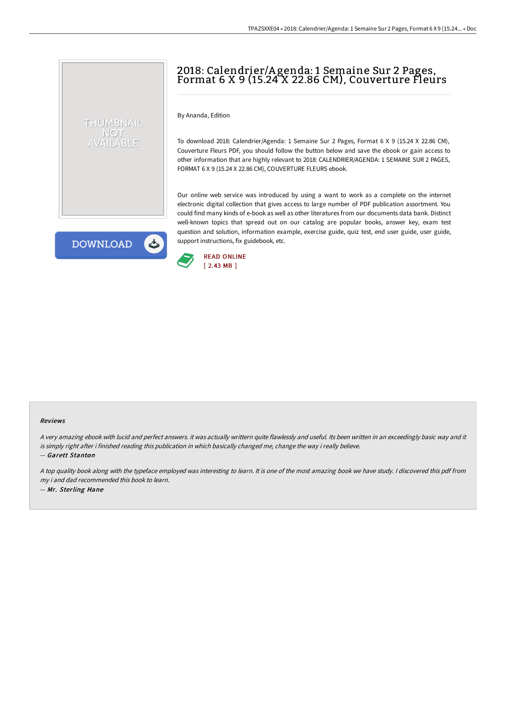# 2018: Calendrier/A genda: 1 Semaine Sur 2 Pages, Format 6 X 9 (15.24 X 22.86 CM), Couverture Fleurs

By Ananda, Edition

To download 2018: Calendrier/Agenda: 1 Semaine Sur 2 Pages, Format 6 X 9 (15.24 X 22.86 CM), Couverture Fleurs PDF, you should follow the button below and save the ebook or gain access to other information that are highly relevant to 2018: CALENDRIER/AGENDA: 1 SEMAINE SUR 2 PAGES, FORMAT 6 X 9 (15.24 X 22.86 CM), COUVERTURE FLEURS ebook.

Our online web service was introduced by using a want to work as a complete on the internet electronic digital collection that gives access to large number of PDF publication assortment. You could find many kinds of e-book as well as other literatures from our documents data bank. Distinct well-known topics that spread out on our catalog are popular books, answer key, exam test question and solution, information example, exercise guide, quiz test, end user guide, user guide, support instructions, fix guidebook, etc.

**DOWNLOAD** 

 $\blacktriangle$ 

THUMBNAIL NOT AVAILABLE



#### Reviews

<sup>A</sup> very amazing ebook with lucid and perfect answers. it was actually writtern quite flawlessly and useful. Its been written in an exceedingly basic way and it is simply right after i finished reading this publication in which basically changed me, change the way i really believe.

-- Garett Stanton

<sup>A</sup> top quality book along with the typeface employed was interesting to learn. It is one of the most amazing book we have study. <sup>I</sup> discovered this pdf from my i and dad recommended this book to learn. -- Mr. Sterling Hane